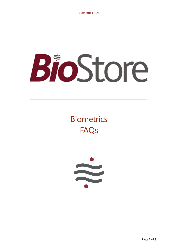# BioStore

# **Biometrics** FAQs

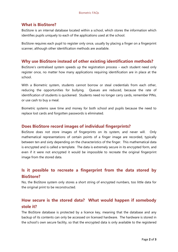#### **What is BioStore?**

BioStore is an internal database located within a school, which stores the information which identifies pupils uniquely to each of the applications used at the school.

BioStore requires each pupil to register only once, usually by placing a finger on a fingerprint scanner, although other identification methods are available.

#### **Why use BioStore instead of other existing identification methods?**

BioStore's centralised system speeds up the registration process – each student need only register once, no matter how many applications requiring identification are in place at the school.

With a Biometric system, students cannot borrow or steal credentials from each other, reducing the opportunities for bullying. Queues are reduced, because the rate of identification of students is quickened. Students need no longer carry cards, remember PINs, or use cash to buy a meal.

Biometric systems save time and money for both school and pupils because the need to replace lost cards and forgotten passwords is eliminated.

#### **Does BioStore record images of individual fingerprints?**

BioStore does not store images of fingerprints on its system, and never will. Only mathematical representations of certain points of a finger image are recorded, typically between ten and sixty depending on the characteristics of the finger. This mathematical data is encrypted and is called a template. The data is extremely secure in its encrypted form, and even if it were not encrypted it would be impossible to recreate the original fingerprint image from the stored data.

# **Is it possible to recreate a fingerprint from the data stored by BioStore?**

No, the BioStore system only stores a short string of encrypted numbers, too little data for the original print to be reconstructed.

# **How secure is the stored data? What would happen if somebody stole it?**

The BioStore database is protected by a licence key, meaning that the database and any backup of its contents can only be accessed on licensed hardware. The hardware is stored in the school's own secure facility, so that the encrypted data is only available to the registered